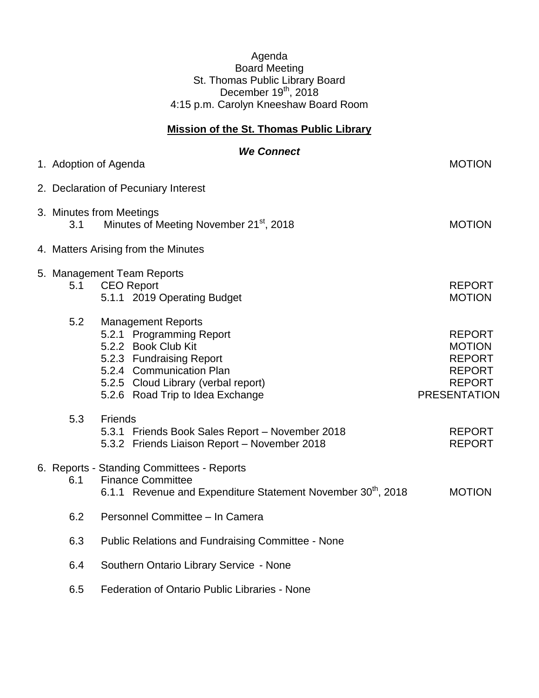## Agenda Board Meeting St. Thomas Public Library Board December 19<sup>th</sup>, 2018 4:15 p.m. Carolyn Kneeshaw Board Room

## **Mission of the St. Thomas Public Library**

|  |     | <b>We Connect</b><br>1. Adoption of Agenda                                                                                                                                                                      | <b>MOTION</b>                                                                                            |
|--|-----|-----------------------------------------------------------------------------------------------------------------------------------------------------------------------------------------------------------------|----------------------------------------------------------------------------------------------------------|
|  |     |                                                                                                                                                                                                                 |                                                                                                          |
|  |     | 2. Declaration of Pecuniary Interest                                                                                                                                                                            |                                                                                                          |
|  | 3.1 | 3. Minutes from Meetings<br>Minutes of Meeting November 21 <sup>st</sup> , 2018                                                                                                                                 | <b>MOTION</b>                                                                                            |
|  |     | 4. Matters Arising from the Minutes                                                                                                                                                                             |                                                                                                          |
|  | 5.1 | 5. Management Team Reports<br><b>CEO Report</b><br>5.1.1 2019 Operating Budget                                                                                                                                  | <b>REPORT</b><br><b>MOTION</b>                                                                           |
|  | 5.2 | <b>Management Reports</b><br>5.2.1 Programming Report<br>5.2.2 Book Club Kit<br>5.2.3 Fundraising Report<br>5.2.4 Communication Plan<br>5.2.5 Cloud Library (verbal report)<br>5.2.6 Road Trip to Idea Exchange | <b>REPORT</b><br><b>MOTION</b><br><b>REPORT</b><br><b>REPORT</b><br><b>REPORT</b><br><b>PRESENTATION</b> |
|  | 5.3 | <b>Friends</b><br>5.3.1 Friends Book Sales Report - November 2018<br>5.3.2 Friends Liaison Report - November 2018                                                                                               | <b>REPORT</b><br><b>REPORT</b>                                                                           |
|  | 6.1 | 6. Reports - Standing Committees - Reports<br><b>Finance Committee</b><br>6.1.1 Revenue and Expenditure Statement November 30 <sup>th</sup> , 2018                                                              | <b>MOTION</b>                                                                                            |
|  | 6.2 | Personnel Committee - In Camera                                                                                                                                                                                 |                                                                                                          |
|  | 6.3 | <b>Public Relations and Fundraising Committee - None</b>                                                                                                                                                        |                                                                                                          |
|  | 6.4 | Southern Ontario Library Service - None                                                                                                                                                                         |                                                                                                          |
|  | 6.5 | Federation of Ontario Public Libraries - None                                                                                                                                                                   |                                                                                                          |